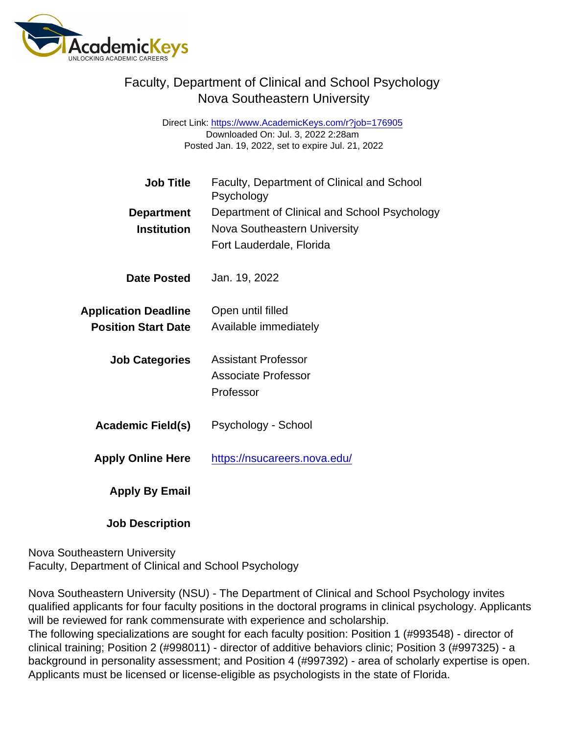## Faculty, Department of Clinical and School Psychology Nova Southeastern University

Direct Link: <https://www.AcademicKeys.com/r?job=176905> Downloaded On: Jul. 3, 2022 2:28am Posted Jan. 19, 2022, set to expire Jul. 21, 2022

| Job Title                   | Faculty, Department of Clinical and School<br>Psychology |
|-----------------------------|----------------------------------------------------------|
| Department                  | Department of Clinical and School Psychology             |
| Institution                 | Nova Southeastern University                             |
|                             | Fort Lauderdale, Florida                                 |
| Date Posted                 | Jan. 19, 2022                                            |
| <b>Application Deadline</b> | Open until filled                                        |
| <b>Position Start Date</b>  | Available immediately                                    |
| <b>Job Categories</b>       | <b>Assistant Professor</b>                               |
|                             | <b>Associate Professor</b>                               |
|                             | Professor                                                |
| Academic Field(s)           | Psychology - School                                      |
| <b>Apply Online Here</b>    | https://nsucareers.nova.edu/                             |
| Apply By Email              |                                                          |

Job Description

Nova Southeastern University Faculty, Department of Clinical and School Psychology

Nova Southeastern University (NSU) - The Department of Clinical and School Psychology invites qualified applicants for four faculty positions in the doctoral programs in clinical psychology. Applicants will be reviewed for rank commensurate with experience and scholarship.

The following specializations are sought for each faculty position: Position 1 (#993548) - director of clinical training; Position 2 (#998011) - director of additive behaviors clinic; Position 3 (#997325) - a background in personality assessment; and Position 4 (#997392) - area of scholarly expertise is open. Applicants must be licensed or license-eligible as psychologists in the state of Florida.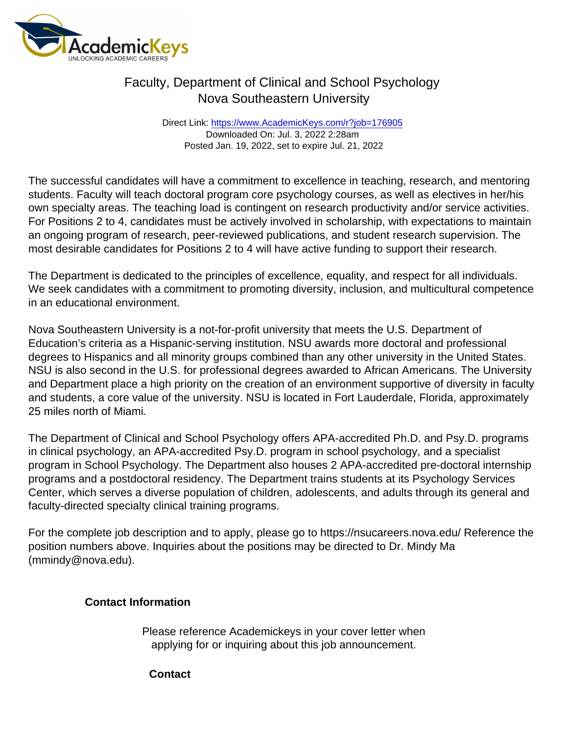## Faculty, Department of Clinical and School Psychology Nova Southeastern University

Direct Link: <https://www.AcademicKeys.com/r?job=176905> Downloaded On: Jul. 3, 2022 2:28am Posted Jan. 19, 2022, set to expire Jul. 21, 2022

The successful candidates will have a commitment to excellence in teaching, research, and mentoring students. Faculty will teach doctoral program core psychology courses, as well as electives in her/his own specialty areas. The teaching load is contingent on research productivity and/or service activities. For Positions 2 to 4, candidates must be actively involved in scholarship, with expectations to maintain an ongoing program of research, peer-reviewed publications, and student research supervision. The most desirable candidates for Positions 2 to 4 will have active funding to support their research.

The Department is dedicated to the principles of excellence, equality, and respect for all individuals. We seek candidates with a commitment to promoting diversity, inclusion, and multicultural competence in an educational environment.

Nova Southeastern University is a not-for-profit university that meets the U.S. Department of Education's criteria as a Hispanic-serving institution. NSU awards more doctoral and professional degrees to Hispanics and all minority groups combined than any other university in the United States. NSU is also second in the U.S. for professional degrees awarded to African Americans. The University and Department place a high priority on the creation of an environment supportive of diversity in faculty and students, a core value of the university. NSU is located in Fort Lauderdale, Florida, approximately 25 miles north of Miami.

The Department of Clinical and School Psychology offers APA-accredited Ph.D. and Psy.D. programs in clinical psychology, an APA-accredited Psy.D. program in school psychology, and a specialist program in School Psychology. The Department also houses 2 APA-accredited pre-doctoral internship programs and a postdoctoral residency. The Department trains students at its Psychology Services Center, which serves a diverse population of children, adolescents, and adults through its general and faculty-directed specialty clinical training programs.

For the complete job description and to apply, please go to https://nsucareers.nova.edu/ Reference the position numbers above. Inquiries about the positions may be directed to Dr. Mindy Ma (mmindy@nova.edu).

Contact Information

Please reference Academickeys in your cover letter when applying for or inquiring about this job announcement.

**Contact**